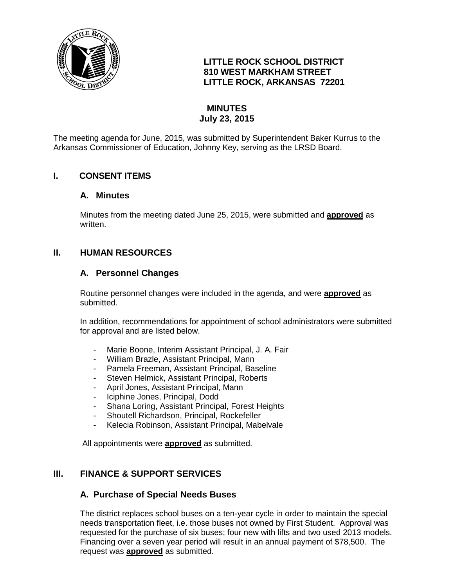

## **LITTLE ROCK SCHOOL DISTRICT 810 WEST MARKHAM STREET LITTLE ROCK, ARKANSAS 72201**

# **MINUTES July 23, 2015**

The meeting agenda for June, 2015, was submitted by Superintendent Baker Kurrus to the Arkansas Commissioner of Education, Johnny Key, serving as the LRSD Board.

## **I. CONSENT ITEMS**

#### **A. Minutes**

Minutes from the meeting dated June 25, 2015, were submitted and **approved** as written.

### **II. HUMAN RESOURCES**

#### **A. Personnel Changes**

Routine personnel changes were included in the agenda, and were **approved** as submitted.

In addition, recommendations for appointment of school administrators were submitted for approval and are listed below.

- Marie Boone, Interim Assistant Principal, J. A. Fair
- William Brazle, Assistant Principal, Mann
- Pamela Freeman, Assistant Principal, Baseline
- Steven Helmick, Assistant Principal, Roberts
- April Jones, Assistant Principal, Mann
- Iciphine Jones, Principal, Dodd
- Shana Loring, Assistant Principal, Forest Heights
- Shoutell Richardson, Principal, Rockefeller
- Kelecia Robinson, Assistant Principal, Mabelvale

All appointments were **approved** as submitted.

### **III. FINANCE & SUPPORT SERVICES**

#### **A. Purchase of Special Needs Buses**

The district replaces school buses on a ten-year cycle in order to maintain the special needs transportation fleet, i.e. those buses not owned by First Student. Approval was requested for the purchase of six buses; four new with lifts and two used 2013 models. Financing over a seven year period will result in an annual payment of \$78,500. The request was **approved** as submitted.